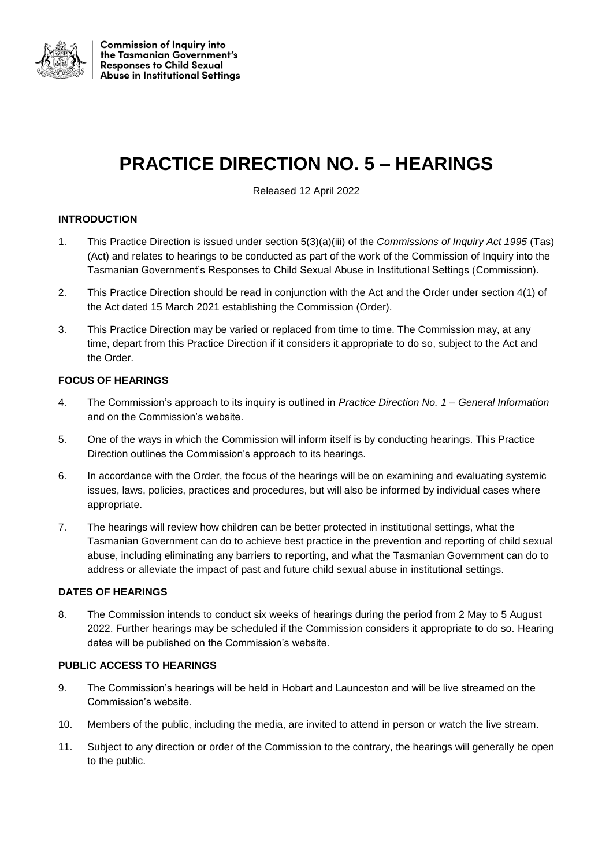

# **PRACTICE DIRECTION NO. 5 – HEARINGS**

Released 12 April 2022

# **INTRODUCTION**

- 1. This Practice Direction is issued under section 5(3)(a)(iii) of the *Commissions of Inquiry Act 1995* (Tas) (Act) and relates to hearings to be conducted as part of the work of the Commission of Inquiry into the Tasmanian Government's Responses to Child Sexual Abuse in Institutional Settings (Commission).
- 2. This Practice Direction should be read in conjunction with the Act and the Order under section 4(1) of the Act dated 15 March 2021 establishing the Commission (Order).
- 3. This Practice Direction may be varied or replaced from time to time. The Commission may, at any time, depart from this Practice Direction if it considers it appropriate to do so, subject to the Act and the Order.

# **FOCUS OF HEARINGS**

- 4. The Commission's approach to its inquiry is outlined in *Practice Direction No. 1 – General Information* and on the Commission's website.
- 5. One of the ways in which the Commission will inform itself is by conducting hearings. This Practice Direction outlines the Commission's approach to its hearings.
- 6. In accordance with the Order, the focus of the hearings will be on examining and evaluating systemic issues, laws, policies, practices and procedures, but will also be informed by individual cases where appropriate.
- 7. The hearings will review how children can be better protected in institutional settings, what the Tasmanian Government can do to achieve best practice in the prevention and reporting of child sexual abuse, including eliminating any barriers to reporting, and what the Tasmanian Government can do to address or alleviate the impact of past and future child sexual abuse in institutional settings.

#### **DATES OF HEARINGS**

8. The Commission intends to conduct six weeks of hearings during the period from 2 May to 5 August 2022. Further hearings may be scheduled if the Commission considers it appropriate to do so. Hearing dates will be published on the Commission's website.

#### **PUBLIC ACCESS TO HEARINGS**

- 9. The Commission's hearings will be held in Hobart and Launceston and will be live streamed on the Commission's website.
- 10. Members of the public, including the media, are invited to attend in person or watch the live stream.
- 11. Subject to any direction or order of the Commission to the contrary, the hearings will generally be open to the public.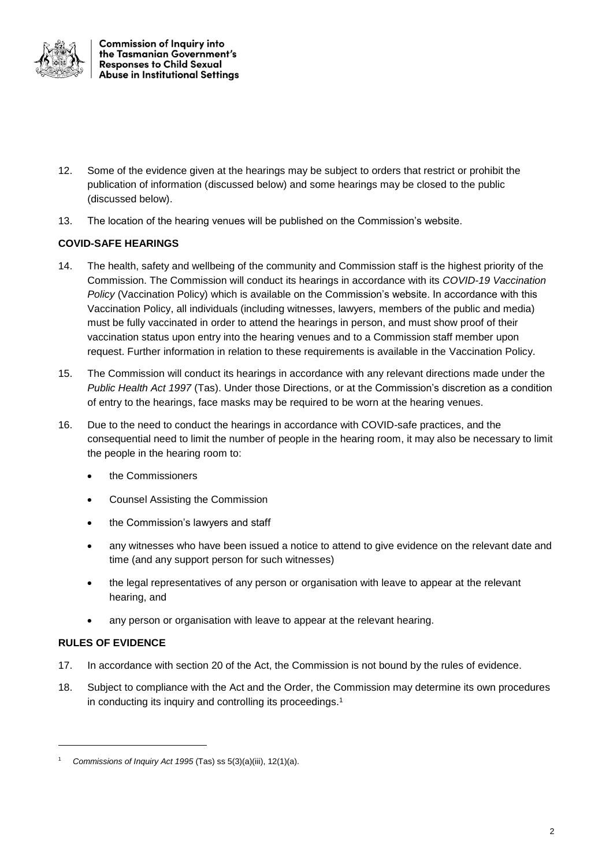

**Commission of Inquiry into** the Tasmanian Government's **Responses to Child Sexual Abuse in Institutional Settings** 

- 12. Some of the evidence given at the hearings may be subject to orders that restrict or prohibit the publication of information (discussed below) and some hearings may be closed to the public (discussed below).
- 13. The location of the hearing venues will be published on the Commission's website.

# **COVID-SAFE HEARINGS**

- 14. The health, safety and wellbeing of the community and Commission staff is the highest priority of the Commission. The Commission will conduct its hearings in accordance with its *COVID-19 Vaccination Policy* (Vaccination Policy) which is available on the Commission's website. In accordance with this Vaccination Policy, all individuals (including witnesses, lawyers, members of the public and media) must be fully vaccinated in order to attend the hearings in person, and must show proof of their vaccination status upon entry into the hearing venues and to a Commission staff member upon request. Further information in relation to these requirements is available in the Vaccination Policy.
- 15. The Commission will conduct its hearings in accordance with any relevant directions made under the *Public Health Act 1997* (Tas). Under those Directions, or at the Commission's discretion as a condition of entry to the hearings, face masks may be required to be worn at the hearing venues.
- 16. Due to the need to conduct the hearings in accordance with COVID-safe practices, and the consequential need to limit the number of people in the hearing room, it may also be necessary to limit the people in the hearing room to:
	- the Commissioners
	- Counsel Assisting the Commission
	- the Commission's lawyers and staff
	- any witnesses who have been issued a notice to attend to give evidence on the relevant date and time (and any support person for such witnesses)
	- the legal representatives of any person or organisation with leave to appear at the relevant hearing, and
	- any person or organisation with leave to appear at the relevant hearing.

# **RULES OF EVIDENCE**

1

- 17. In accordance with section 20 of the Act, the Commission is not bound by the rules of evidence.
- 18. Subject to compliance with the Act and the Order, the Commission may determine its own procedures in conducting its inquiry and controlling its proceedings. 1

<sup>1</sup> *Commissions of Inquiry Act 1995* (Tas) ss 5(3)(a)(iii), 12(1)(a).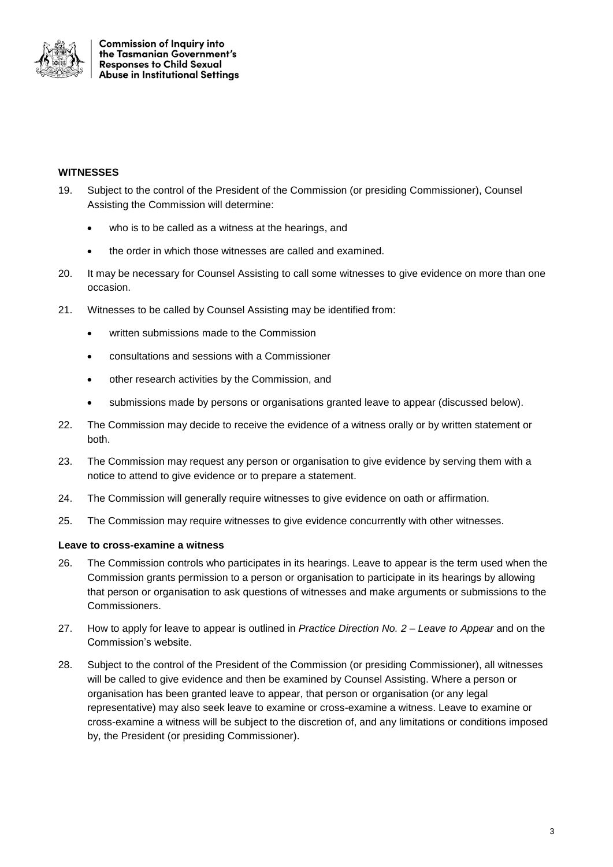

#### **WITNESSES**

- 19. Subject to the control of the President of the Commission (or presiding Commissioner), Counsel Assisting the Commission will determine:
	- who is to be called as a witness at the hearings, and
	- the order in which those witnesses are called and examined.
- 20. It may be necessary for Counsel Assisting to call some witnesses to give evidence on more than one occasion.
- 21. Witnesses to be called by Counsel Assisting may be identified from:
	- written submissions made to the Commission
	- consultations and sessions with a Commissioner
	- other research activities by the Commission, and
	- submissions made by persons or organisations granted leave to appear (discussed below).
- 22. The Commission may decide to receive the evidence of a witness orally or by written statement or both.
- 23. The Commission may request any person or organisation to give evidence by serving them with a notice to attend to give evidence or to prepare a statement.
- 24. The Commission will generally require witnesses to give evidence on oath or affirmation.
- 25. The Commission may require witnesses to give evidence concurrently with other witnesses.

#### **Leave to cross-examine a witness**

- 26. The Commission controls who participates in its hearings. Leave to appear is the term used when the Commission grants permission to a person or organisation to participate in its hearings by allowing that person or organisation to ask questions of witnesses and make arguments or submissions to the Commissioners.
- 27. How to apply for leave to appear is outlined in *Practice Direction No. 2 – Leave to Appear* and on the Commission's website.
- 28. Subject to the control of the President of the Commission (or presiding Commissioner), all witnesses will be called to give evidence and then be examined by Counsel Assisting. Where a person or organisation has been granted leave to appear, that person or organisation (or any legal representative) may also seek leave to examine or cross-examine a witness. Leave to examine or cross-examine a witness will be subject to the discretion of, and any limitations or conditions imposed by, the President (or presiding Commissioner).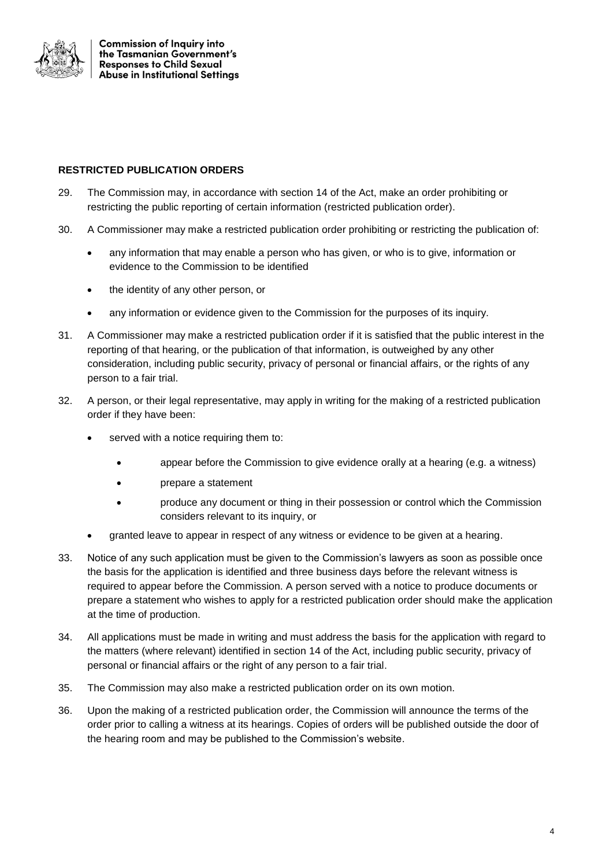

**Commission of Inguiry into** the Tasmanian Government's **Responses to Child Sexual Abuse in Institutional Settings** 

# **RESTRICTED PUBLICATION ORDERS**

- 29. The Commission may, in accordance with section 14 of the Act, make an order prohibiting or restricting the public reporting of certain information (restricted publication order).
- 30. A Commissioner may make a restricted publication order prohibiting or restricting the publication of:
	- any information that may enable a person who has given, or who is to give, information or evidence to the Commission to be identified
	- the identity of any other person, or
	- any information or evidence given to the Commission for the purposes of its inquiry.
- 31. A Commissioner may make a restricted publication order if it is satisfied that the public interest in the reporting of that hearing, or the publication of that information, is outweighed by any other consideration, including public security, privacy of personal or financial affairs, or the rights of any person to a fair trial.
- 32. A person, or their legal representative, may apply in writing for the making of a restricted publication order if they have been:
	- served with a notice requiring them to:
		- appear before the Commission to give evidence orally at a hearing (e.g. a witness)
		- prepare a statement
		- produce any document or thing in their possession or control which the Commission considers relevant to its inquiry, or
	- granted leave to appear in respect of any witness or evidence to be given at a hearing.
- 33. Notice of any such application must be given to the Commission's lawyers as soon as possible once the basis for the application is identified and three business days before the relevant witness is required to appear before the Commission. A person served with a notice to produce documents or prepare a statement who wishes to apply for a restricted publication order should make the application at the time of production.
- 34. All applications must be made in writing and must address the basis for the application with regard to the matters (where relevant) identified in section 14 of the Act, including public security, privacy of personal or financial affairs or the right of any person to a fair trial.
- 35. The Commission may also make a restricted publication order on its own motion.
- 36. Upon the making of a restricted publication order, the Commission will announce the terms of the order prior to calling a witness at its hearings. Copies of orders will be published outside the door of the hearing room and may be published to the Commission's website.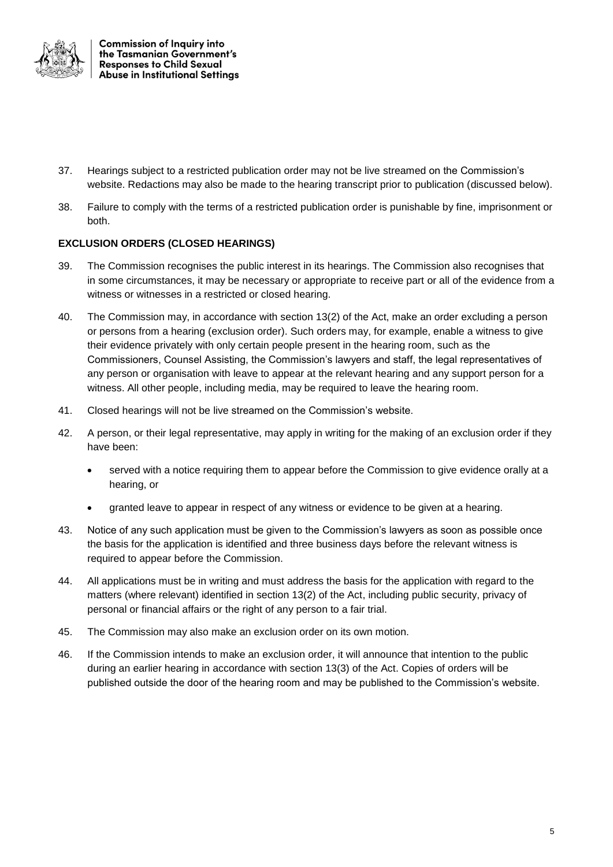

**Commission of Inguiry into** the Tasmanian Government's **Responses to Child Sexual Abuse in Institutional Settings** 

- 37. Hearings subject to a restricted publication order may not be live streamed on the Commission's website. Redactions may also be made to the hearing transcript prior to publication (discussed below).
- 38. Failure to comply with the terms of a restricted publication order is punishable by fine, imprisonment or both.

# **EXCLUSION ORDERS (CLOSED HEARINGS)**

- 39. The Commission recognises the public interest in its hearings. The Commission also recognises that in some circumstances, it may be necessary or appropriate to receive part or all of the evidence from a witness or witnesses in a restricted or closed hearing.
- 40. The Commission may, in accordance with section 13(2) of the Act, make an order excluding a person or persons from a hearing (exclusion order). Such orders may, for example, enable a witness to give their evidence privately with only certain people present in the hearing room, such as the Commissioners, Counsel Assisting, the Commission's lawyers and staff, the legal representatives of any person or organisation with leave to appear at the relevant hearing and any support person for a witness. All other people, including media, may be required to leave the hearing room.
- 41. Closed hearings will not be live streamed on the Commission's website.
- 42. A person, or their legal representative, may apply in writing for the making of an exclusion order if they have been:
	- served with a notice requiring them to appear before the Commission to give evidence orally at a hearing, or
	- granted leave to appear in respect of any witness or evidence to be given at a hearing.
- 43. Notice of any such application must be given to the Commission's lawyers as soon as possible once the basis for the application is identified and three business days before the relevant witness is required to appear before the Commission.
- 44. All applications must be in writing and must address the basis for the application with regard to the matters (where relevant) identified in section 13(2) of the Act, including public security, privacy of personal or financial affairs or the right of any person to a fair trial.
- 45. The Commission may also make an exclusion order on its own motion.
- 46. If the Commission intends to make an exclusion order, it will announce that intention to the public during an earlier hearing in accordance with section 13(3) of the Act. Copies of orders will be published outside the door of the hearing room and may be published to the Commission's website.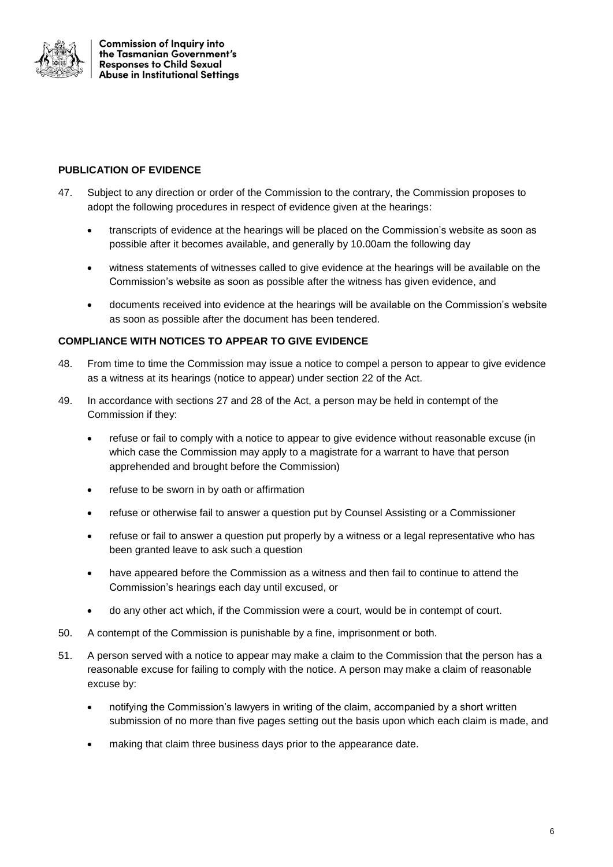

**Commission of Inquiry into** the Tasmanian Government's **Responses to Child Sexual Abuse in Institutional Settings** 

# **PUBLICATION OF EVIDENCE**

- 47. Subject to any direction or order of the Commission to the contrary, the Commission proposes to adopt the following procedures in respect of evidence given at the hearings:
	- transcripts of evidence at the hearings will be placed on the Commission's website as soon as possible after it becomes available, and generally by 10.00am the following day
	- witness statements of witnesses called to give evidence at the hearings will be available on the Commission's website as soon as possible after the witness has given evidence, and
	- documents received into evidence at the hearings will be available on the Commission's website as soon as possible after the document has been tendered.

# **COMPLIANCE WITH NOTICES TO APPEAR TO GIVE EVIDENCE**

- 48. From time to time the Commission may issue a notice to compel a person to appear to give evidence as a witness at its hearings (notice to appear) under section 22 of the Act.
- 49. In accordance with sections 27 and 28 of the Act, a person may be held in contempt of the Commission if they:
	- refuse or fail to comply with a notice to appear to give evidence without reasonable excuse (in which case the Commission may apply to a magistrate for a warrant to have that person apprehended and brought before the Commission)
	- refuse to be sworn in by oath or affirmation
	- refuse or otherwise fail to answer a question put by Counsel Assisting or a Commissioner
	- refuse or fail to answer a question put properly by a witness or a legal representative who has been granted leave to ask such a question
	- have appeared before the Commission as a witness and then fail to continue to attend the Commission's hearings each day until excused, or
	- do any other act which, if the Commission were a court, would be in contempt of court.
- 50. A contempt of the Commission is punishable by a fine, imprisonment or both.
- 51. A person served with a notice to appear may make a claim to the Commission that the person has a reasonable excuse for failing to comply with the notice. A person may make a claim of reasonable excuse by:
	- notifying the Commission's lawyers in writing of the claim, accompanied by a short written submission of no more than five pages setting out the basis upon which each claim is made, and
	- making that claim three business days prior to the appearance date.